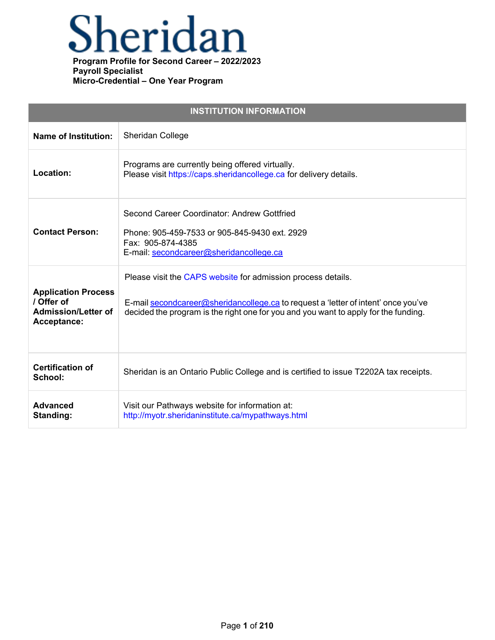

| <b>INSTITUTION INFORMATION</b>                                                        |                                                                                                                                                                                                                                           |  |  |
|---------------------------------------------------------------------------------------|-------------------------------------------------------------------------------------------------------------------------------------------------------------------------------------------------------------------------------------------|--|--|
| Name of Institution:                                                                  | Sheridan College                                                                                                                                                                                                                          |  |  |
| Location:                                                                             | Programs are currently being offered virtually.<br>Please visit https://caps.sheridancollege.ca for delivery details.                                                                                                                     |  |  |
| <b>Contact Person:</b>                                                                | Second Career Coordinator: Andrew Gottfried<br>Phone: 905-459-7533 or 905-845-9430 ext. 2929<br>Fax: 905-874-4385<br>E-mail: secondcareer@sheridancollege.ca                                                                              |  |  |
| <b>Application Process</b><br>/ Offer of<br><b>Admission/Letter of</b><br>Acceptance: | Please visit the CAPS website for admission process details.<br>E-mail secondcareer@sheridancollege.ca to request a 'letter of intent' once you've<br>decided the program is the right one for you and you want to apply for the funding. |  |  |
| <b>Certification of</b><br>School:                                                    | Sheridan is an Ontario Public College and is certified to issue T2202A tax receipts.                                                                                                                                                      |  |  |
| <b>Advanced</b><br>Standing:                                                          | Visit our Pathways website for information at:<br>http://myotr.sheridaninstitute.ca/mypathways.html                                                                                                                                       |  |  |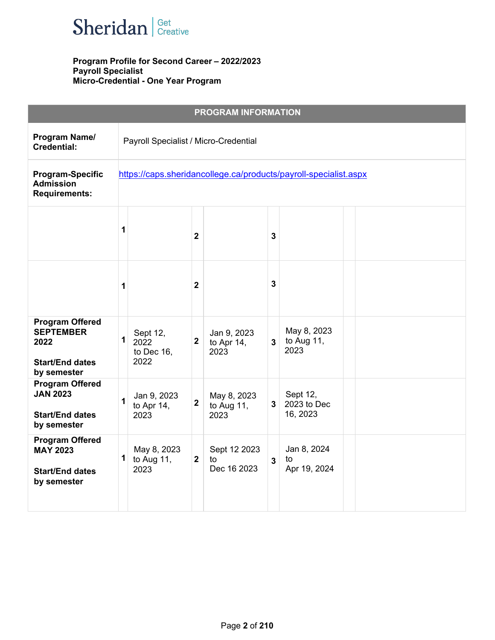

|                                                                                             |                                                                  |                                        |                | <b>PROGRAM INFORMATION</b>           |                         |                                     |  |  |
|---------------------------------------------------------------------------------------------|------------------------------------------------------------------|----------------------------------------|----------------|--------------------------------------|-------------------------|-------------------------------------|--|--|
| Program Name/<br><b>Credential:</b>                                                         | Payroll Specialist / Micro-Credential                            |                                        |                |                                      |                         |                                     |  |  |
| <b>Program-Specific</b><br><b>Admission</b><br><b>Requirements:</b>                         | https://caps.sheridancollege.ca/products/payroll-specialist.aspx |                                        |                |                                      |                         |                                     |  |  |
|                                                                                             | 1                                                                |                                        | $\overline{2}$ |                                      | 3                       |                                     |  |  |
|                                                                                             | 1                                                                |                                        | $\overline{2}$ |                                      | 3                       |                                     |  |  |
| <b>Program Offered</b><br><b>SEPTEMBER</b><br>2022<br><b>Start/End dates</b><br>by semester | 1                                                                | Sept 12,<br>2022<br>to Dec 16,<br>2022 | $\overline{2}$ | Jan 9, 2023<br>to Apr 14,<br>2023    | $\overline{\mathbf{3}}$ | May 8, 2023<br>to Aug 11,<br>2023   |  |  |
| <b>Program Offered</b><br><b>JAN 2023</b><br><b>Start/End dates</b><br>by semester          | $\overline{1}$                                                   | Jan 9, 2023<br>to Apr 14,<br>2023      | $\mathbf 2$    | May 8, 2023<br>to Aug $11$ ,<br>2023 | 3                       | Sept 12,<br>2023 to Dec<br>16, 2023 |  |  |
| <b>Program Offered</b><br><b>MAY 2023</b><br><b>Start/End dates</b><br>by semester          | 1                                                                | May 8, 2023<br>to Aug $11$ ,<br>2023   | $\mathbf{2}$   | Sept 12 2023<br>to<br>Dec 16 2023    | $\mathbf{3}$            | Jan 8, 2024<br>to<br>Apr 19, 2024   |  |  |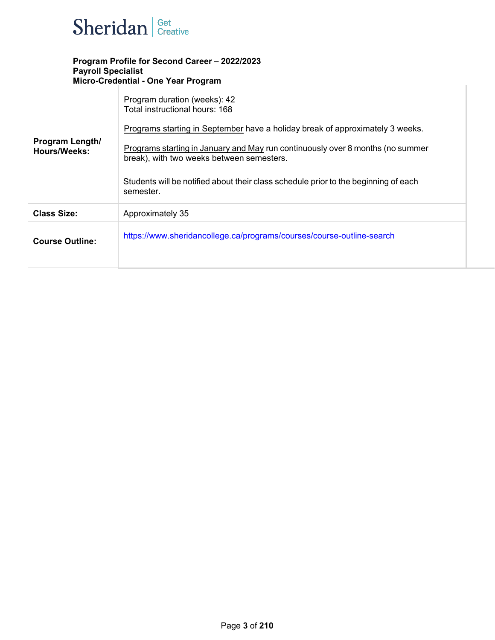

| <b>Program Length/</b><br>Hours/Weeks: | Program duration (weeks): 42<br>Total instructional hours: 168<br>Programs starting in September have a holiday break of approximately 3 weeks.<br>Programs starting in January and May run continuously over 8 months (no summer<br>break), with two weeks between semesters.<br>Students will be notified about their class schedule prior to the beginning of each<br>semester. |
|----------------------------------------|------------------------------------------------------------------------------------------------------------------------------------------------------------------------------------------------------------------------------------------------------------------------------------------------------------------------------------------------------------------------------------|
| <b>Class Size:</b>                     | Approximately 35                                                                                                                                                                                                                                                                                                                                                                   |
| <b>Course Outline:</b>                 | https://www.sheridancollege.ca/programs/courses/course-outline-search                                                                                                                                                                                                                                                                                                              |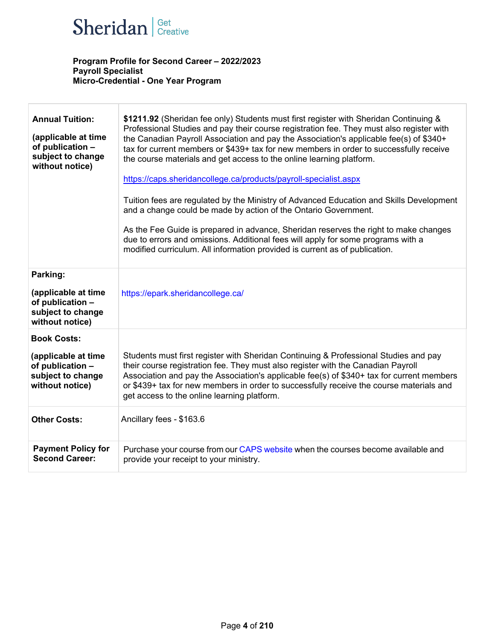

| <b>Annual Tuition:</b><br>(applicable at time<br>of publication -<br>subject to change<br>without notice) | \$1211.92 (Sheridan fee only) Students must first register with Sheridan Continuing &<br>Professional Studies and pay their course registration fee. They must also register with<br>the Canadian Payroll Association and pay the Association's applicable fee(s) of \$340+<br>tax for current members or \$439+ tax for new members in order to successfully receive<br>the course materials and get access to the online learning platform.<br>https://caps.sheridancollege.ca/products/payroll-specialist.aspx<br>Tuition fees are regulated by the Ministry of Advanced Education and Skills Development<br>and a change could be made by action of the Ontario Government.<br>As the Fee Guide is prepared in advance, Sheridan reserves the right to make changes<br>due to errors and omissions. Additional fees will apply for some programs with a<br>modified curriculum. All information provided is current as of publication. |
|-----------------------------------------------------------------------------------------------------------|--------------------------------------------------------------------------------------------------------------------------------------------------------------------------------------------------------------------------------------------------------------------------------------------------------------------------------------------------------------------------------------------------------------------------------------------------------------------------------------------------------------------------------------------------------------------------------------------------------------------------------------------------------------------------------------------------------------------------------------------------------------------------------------------------------------------------------------------------------------------------------------------------------------------------------------------|
| Parking:<br>(applicable at time<br>of publication -<br>subject to change<br>without notice)               | https://epark.sheridancollege.ca/                                                                                                                                                                                                                                                                                                                                                                                                                                                                                                                                                                                                                                                                                                                                                                                                                                                                                                          |
| <b>Book Costs:</b><br>(applicable at time<br>of publication -<br>subject to change<br>without notice)     | Students must first register with Sheridan Continuing & Professional Studies and pay<br>their course registration fee. They must also register with the Canadian Payroll<br>Association and pay the Association's applicable fee(s) of \$340+ tax for current members<br>or \$439+ tax for new members in order to successfully receive the course materials and<br>get access to the online learning platform.                                                                                                                                                                                                                                                                                                                                                                                                                                                                                                                            |
| <b>Other Costs:</b>                                                                                       | Ancillary fees - \$163.6                                                                                                                                                                                                                                                                                                                                                                                                                                                                                                                                                                                                                                                                                                                                                                                                                                                                                                                   |
| <b>Payment Policy for</b><br><b>Second Career:</b>                                                        | Purchase your course from our CAPS website when the courses become available and<br>provide your receipt to your ministry.                                                                                                                                                                                                                                                                                                                                                                                                                                                                                                                                                                                                                                                                                                                                                                                                                 |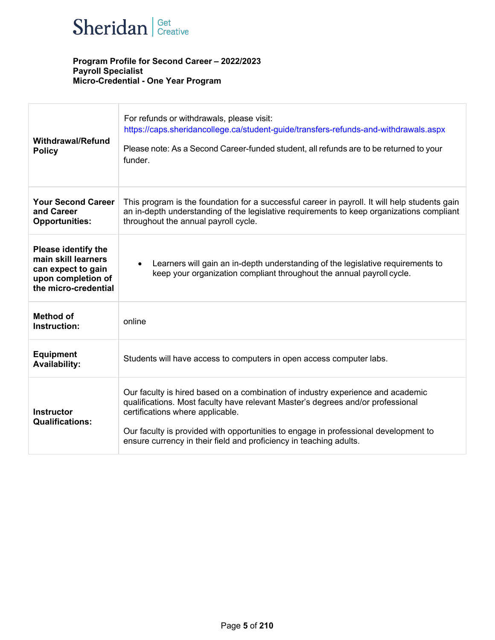

| <b>Withdrawal/Refund</b><br><b>Policy</b>                                                                             | For refunds or withdrawals, please visit:<br>https://caps.sheridancollege.ca/student-guide/transfers-refunds-and-withdrawals.aspx<br>Please note: As a Second Career-funded student, all refunds are to be returned to your<br>funder.                                                                                                                              |
|-----------------------------------------------------------------------------------------------------------------------|---------------------------------------------------------------------------------------------------------------------------------------------------------------------------------------------------------------------------------------------------------------------------------------------------------------------------------------------------------------------|
| <b>Your Second Career</b><br>and Career<br><b>Opportunities:</b>                                                      | This program is the foundation for a successful career in payroll. It will help students gain<br>an in-depth understanding of the legislative requirements to keep organizations compliant<br>throughout the annual payroll cycle.                                                                                                                                  |
| <b>Please identify the</b><br>main skill learners<br>can expect to gain<br>upon completion of<br>the micro-credential | Learners will gain an in-depth understanding of the legislative requirements to<br>keep your organization compliant throughout the annual payroll cycle.                                                                                                                                                                                                            |
| <b>Method of</b><br>Instruction:                                                                                      | online                                                                                                                                                                                                                                                                                                                                                              |
| <b>Equipment</b><br><b>Availability:</b>                                                                              | Students will have access to computers in open access computer labs.                                                                                                                                                                                                                                                                                                |
| <b>Instructor</b><br><b>Qualifications:</b>                                                                           | Our faculty is hired based on a combination of industry experience and academic<br>qualifications. Most faculty have relevant Master's degrees and/or professional<br>certifications where applicable.<br>Our faculty is provided with opportunities to engage in professional development to<br>ensure currency in their field and proficiency in teaching adults. |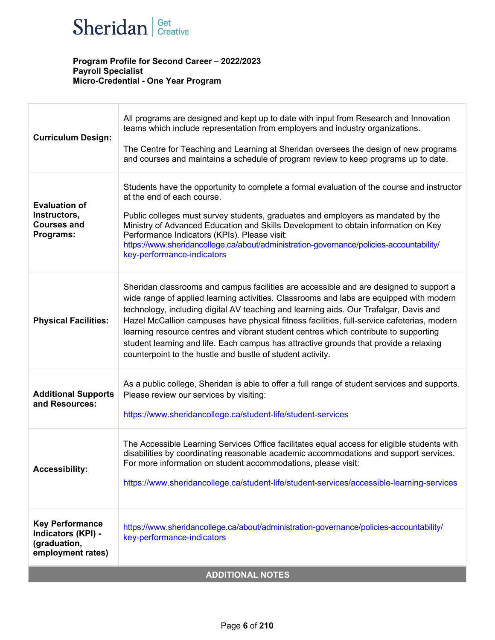

| <b>Curriculum Design:</b>                                                         | All programs are designed and kept up to date with input from Research and Innovation<br>teams which include representation from employers and industry organizations.<br>The Centre for Teaching and Learning at Sheridan oversees the design of new programs<br>and courses and maintains a schedule of program review to keep programs up to date.                                                                                                                                                                                                                                                                   |
|-----------------------------------------------------------------------------------|-------------------------------------------------------------------------------------------------------------------------------------------------------------------------------------------------------------------------------------------------------------------------------------------------------------------------------------------------------------------------------------------------------------------------------------------------------------------------------------------------------------------------------------------------------------------------------------------------------------------------|
| <b>Evaluation of</b><br>Instructors,<br><b>Courses and</b><br>Programs:           | Students have the opportunity to complete a formal evaluation of the course and instructor<br>at the end of each course.<br>Public colleges must survey students, graduates and employers as mandated by the<br>Ministry of Advanced Education and Skills Development to obtain information on Key<br>Performance Indicators (KPIs). Please visit:<br>https://www.sheridancollege.ca/about/administration-governance/policies-accountability/<br>key-performance-indicators                                                                                                                                             |
| <b>Physical Facilities:</b>                                                       | Sheridan classrooms and campus facilities are accessible and are designed to support a<br>wide range of applied learning activities. Classrooms and labs are equipped with modern<br>technology, including digital AV teaching and learning aids. Our Trafalgar, Davis and<br>Hazel McCallion campuses have physical fitness facilities, full-service cafeterias, modern<br>learning resource centres and vibrant student centres which contribute to supporting<br>student learning and life. Each campus has attractive grounds that provide a relaxing<br>counterpoint to the hustle and bustle of student activity. |
| <b>Additional Supports</b><br>and Resources:                                      | As a public college, Sheridan is able to offer a full range of student services and supports.<br>Please review our services by visiting:<br>https://www.sheridancollege.ca/student-life/student-services                                                                                                                                                                                                                                                                                                                                                                                                                |
| <b>Accessibility:</b>                                                             | The Accessible Learning Services Office facilitates equal access for eligible students with<br>disabilities by coordinating reasonable academic accommodations and support services.<br>For more information on student accommodations, please visit:<br>https://www.sheridancollege.ca/student-life/student-services/accessible-learning-services                                                                                                                                                                                                                                                                      |
| <b>Key Performance</b><br>Indicators (KPI) -<br>(graduation,<br>employment rates) | https://www.sheridancollege.ca/about/administration-governance/policies-accountability/<br>key-performance-indicators                                                                                                                                                                                                                                                                                                                                                                                                                                                                                                   |
|                                                                                   | <b>ADDITIONAL NOTES</b>                                                                                                                                                                                                                                                                                                                                                                                                                                                                                                                                                                                                 |